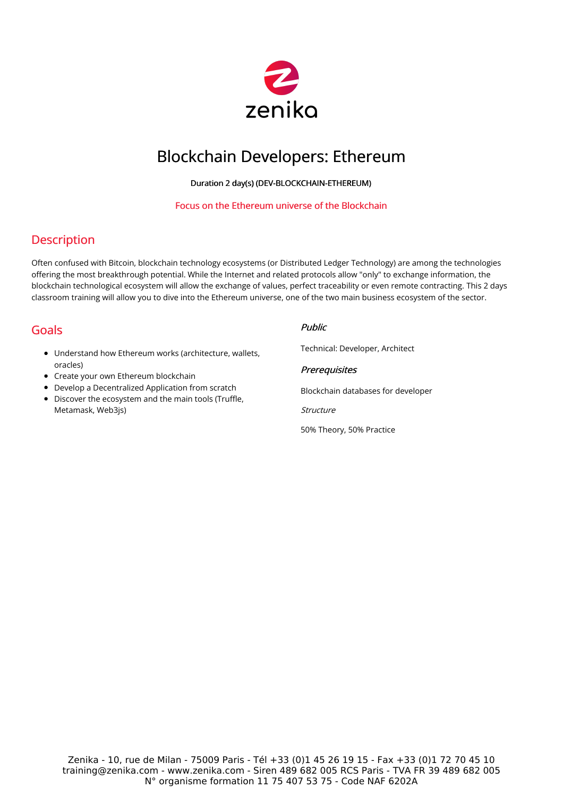

# Blockchain Developers: Ethereum

Duration 2 day(s) (DEV-BLOCKCHAIN-ETHEREUM)

#### Focus on the Ethereum universe of the Blockchain

### **Description**

Often confused with Bitcoin, blockchain technology ecosystems (or Distributed Ledger Technology) are among the technologies offering the most breakthrough potential. While the Internet and related protocols allow "only" to exchange information, the blockchain technological ecosystem will allow the exchange of values, perfect traceability or even remote contracting. This 2 days classroom training will allow you to dive into the Ethereum universe, one of the two main business ecosystem of the sector.

## Goals

- Understand how Ethereum works (architecture, wallets, oracles)
- Create your own Ethereum blockchain
- Develop a Decentralized Application from scratch
- Discover the ecosystem and the main tools (Truffle, Metamask, Web3js)

### Public

Technical: Developer, Architect

### **Prerequisites**

Blockchain databases for developer

Structure

50% Theory, 50% Practice